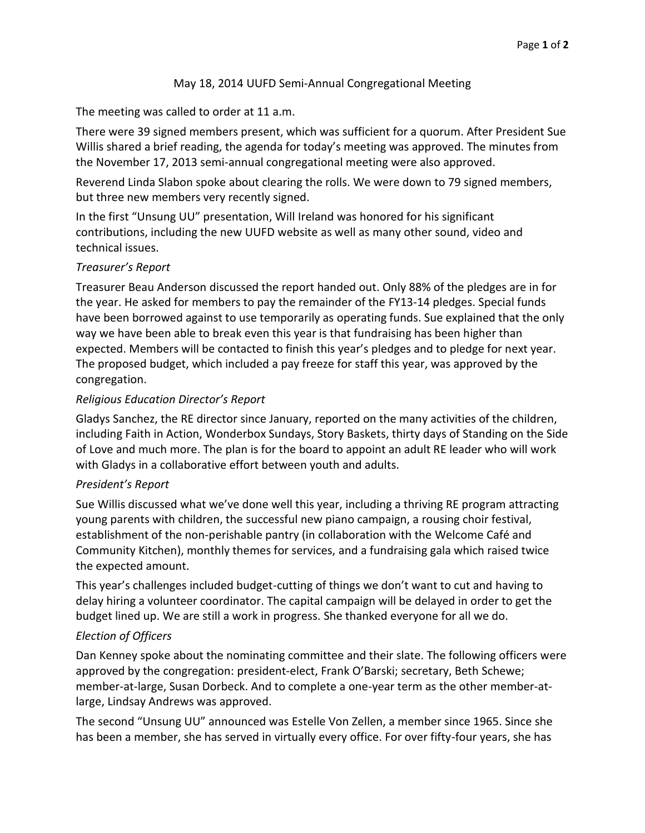## May 18, 2014 UUFD Semi-Annual Congregational Meeting

## The meeting was called to order at 11 a.m.

There were 39 signed members present, which was sufficient for a quorum. After President Sue Willis shared a brief reading, the agenda for today's meeting was approved. The minutes from the November 17, 2013 semi-annual congregational meeting were also approved.

Reverend Linda Slabon spoke about clearing the rolls. We were down to 79 signed members, but three new members very recently signed.

In the first "Unsung UU" presentation, Will Ireland was honored for his significant contributions, including the new UUFD website as well as many other sound, video and technical issues.

# *Treasurer's Report*

Treasurer Beau Anderson discussed the report handed out. Only 88% of the pledges are in for the year. He asked for members to pay the remainder of the FY13-14 pledges. Special funds have been borrowed against to use temporarily as operating funds. Sue explained that the only way we have been able to break even this year is that fundraising has been higher than expected. Members will be contacted to finish this year's pledges and to pledge for next year. The proposed budget, which included a pay freeze for staff this year, was approved by the congregation.

# *Religious Education Director's Report*

Gladys Sanchez, the RE director since January, reported on the many activities of the children, including Faith in Action, Wonderbox Sundays, Story Baskets, thirty days of Standing on the Side of Love and much more. The plan is for the board to appoint an adult RE leader who will work with Gladys in a collaborative effort between youth and adults.

#### *President's Report*

Sue Willis discussed what we've done well this year, including a thriving RE program attracting young parents with children, the successful new piano campaign, a rousing choir festival, establishment of the non-perishable pantry (in collaboration with the Welcome Café and Community Kitchen), monthly themes for services, and a fundraising gala which raised twice the expected amount.

This year's challenges included budget-cutting of things we don't want to cut and having to delay hiring a volunteer coordinator. The capital campaign will be delayed in order to get the budget lined up. We are still a work in progress. She thanked everyone for all we do.

# *Election of Officers*

Dan Kenney spoke about the nominating committee and their slate. The following officers were approved by the congregation: president-elect, Frank O'Barski; secretary, Beth Schewe; member-at-large, Susan Dorbeck. And to complete a one-year term as the other member-atlarge, Lindsay Andrews was approved.

The second "Unsung UU" announced was Estelle Von Zellen, a member since 1965. Since she has been a member, she has served in virtually every office. For over fifty-four years, she has